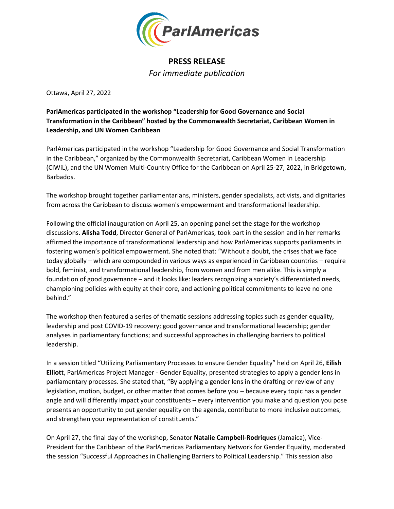

## **PRESS RELEASE** *For immediate publication*

Ottawa, April 27, 2022

**ParlAmericas participated in the workshop "Leadership for Good Governance and Social Transformation in the Caribbean" hosted by the Commonwealth Secretariat, Caribbean Women in Leadership, and UN Women Caribbean**

ParlAmericas participated in the workshop "Leadership for Good Governance and Social Transformation in the Caribbean," organized by the Commonwealth Secretariat, Caribbean Women in Leadership (CIWiL), and the UN Women Multi-Country Office for the Caribbean on April 25-27, 2022, in Bridgetown, Barbados.

The workshop brought together parliamentarians, ministers, gender specialists, activists, and dignitaries from across the Caribbean to discuss women's empowerment and transformational leadership.

Following the official inauguration on April 25, an opening panel set the stage for the workshop discussions. **Alisha Todd**, Director General of ParlAmericas, took part in the session and in her remarks affirmed the importance of transformational leadership and how ParlAmericas supports parliaments in fostering women's political empowerment. She noted that: "Without a doubt, the crises that we face today globally – which are compounded in various ways as experienced in Caribbean countries – require bold, feminist, and transformational leadership, from women and from men alike. This is simply a foundation of good governance – and it looks like: leaders recognizing a society's differentiated needs, championing policies with equity at their core, and actioning political commitments to leave no one behind."

The workshop then featured a series of thematic sessions addressing topics such as gender equality, leadership and post COVID-19 recovery; good governance and transformational leadership; gender analyses in parliamentary functions; and successful approaches in challenging barriers to political leadership.

In a session titled "Utilizing Parliamentary Processes to ensure Gender Equality" held on April 26, **Eilish Elliott**, ParlAmericas Project Manager - Gender Equality, presented strategies to apply a gender lens in parliamentary processes. She stated that, "By applying a gender lens in the drafting or review of any legislation, motion, budget, or other matter that comes before you – because every topic has a gender angle and will differently impact your constituents – every intervention you make and question you pose presents an opportunity to put gender equality on the agenda, contribute to more inclusive outcomes, and strengthen your representation of constituents."

On April 27, the final day of the workshop, Senator **Natalie Campbell-Rodriques** (Jamaica), Vice-President for the Caribbean of the ParlAmericas Parliamentary Network for Gender Equality, moderated the session "Successful Approaches in Challenging Barriers to Political Leadership." This session also